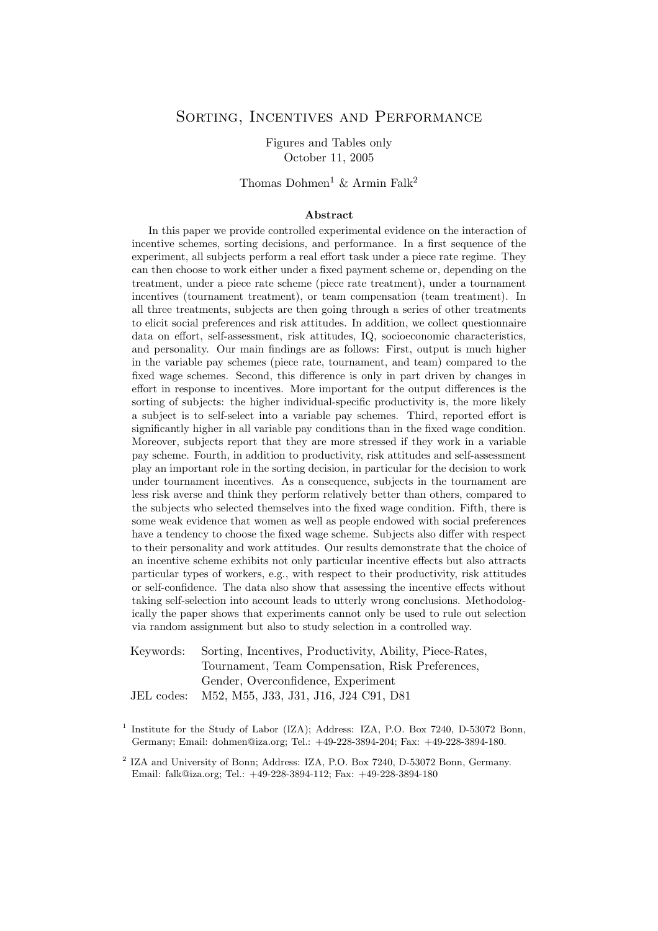## SORTING, INCENTIVES AND PERFORMANCE

Figures and Tables only October 11, 2005

# Thomas Dohmen<sup>1</sup> & Armin Falk<sup>2</sup>

### **Abstract**

In this paper we provide controlled experimental evidence on the interaction of incentive schemes, sorting decisions, and performance. In a first sequence of the experiment, all subjects perform a real effort task under a piece rate regime. They can then choose to work either under a fixed payment scheme or, depending on the treatment, under a piece rate scheme (piece rate treatment), under a tournament incentives (tournament treatment), or team compensation (team treatment). In all three treatments, subjects are then going through a series of other treatments to elicit social preferences and risk attitudes. In addition, we collect questionnaire data on effort, self-assessment, risk attitudes, IQ, socioeconomic characteristics, and personality. Our main findings are as follows: First, output is much higher in the variable pay schemes (piece rate, tournament, and team) compared to the fixed wage schemes. Second, this difference is only in part driven by changes in effort in response to incentives. More important for the output differences is the sorting of subjects: the higher individual-specific productivity is, the more likely a subject is to self-select into a variable pay schemes. Third, reported effort is significantly higher in all variable pay conditions than in the fixed wage condition. Moreover, subjects report that they are more stressed if they work in a variable pay scheme. Fourth, in addition to productivity, risk attitudes and self-assessment play an important role in the sorting decision, in particular for the decision to work under tournament incentives. As a consequence, subjects in the tournament are less risk averse and think they perform relatively better than others, compared to the subjects who selected themselves into the fixed wage condition. Fifth, there is some weak evidence that women as well as people endowed with social preferences have a tendency to choose the fixed wage scheme. Subjects also differ with respect to their personality and work attitudes. Our results demonstrate that the choice of an incentive scheme exhibits not only particular incentive effects but also attracts particular types of workers, e.g., with respect to their productivity, risk attitudes or self-confidence. The data also show that assessing the incentive effects without taking self-selection into account leads to utterly wrong conclusions. Methodologically the paper shows that experiments cannot only be used to rule out selection via random assignment but also to study selection in a controlled way.

Keywords: Sorting, Incentives, Productivity, Ability, Piece-Rates, Tournament, Team Compensation, Risk Preferences, Gender, Overconfidence, Experiment

JEL codes: M52, M55, J33, J31, J16, J24 C91, D81

<sup>1</sup> Institute for the Study of Labor (IZA); Address: IZA, P.O. Box 7240, D-53072 Bonn, Germany; Email: dohmen@iza.org; Tel.: +49-228-3894-204; Fax: +49-228-3894-180.

<sup>2</sup> IZA and University of Bonn; Address: IZA, P.O. Box 7240, D-53072 Bonn, Germany. Email: falk@iza.org; Tel.: +49-228-3894-112; Fax: +49-228-3894-180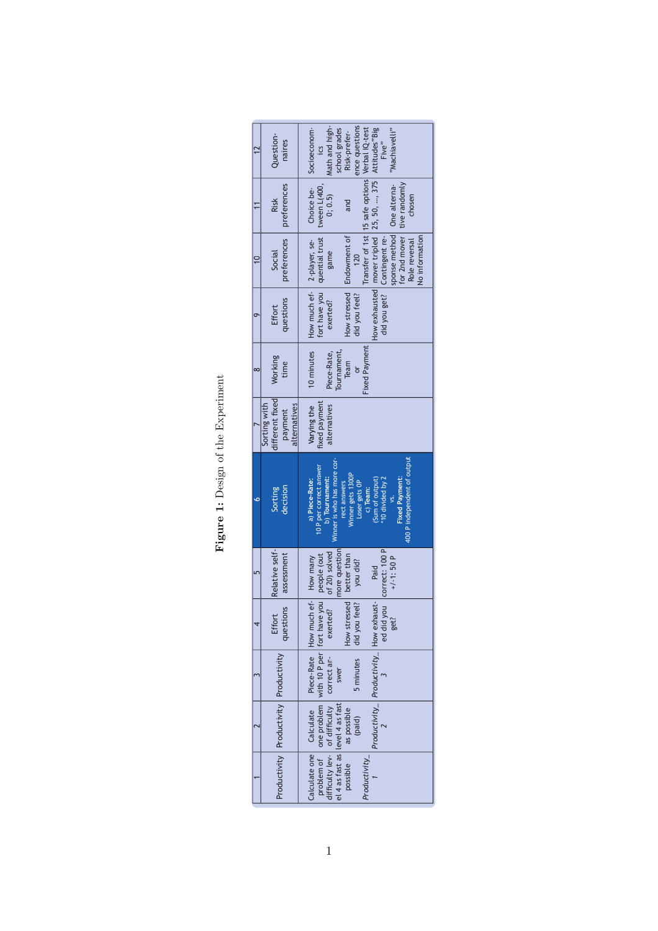| í<br>ļ                                                                                                              |
|---------------------------------------------------------------------------------------------------------------------|
| ֧֧֧֧֧֧֧֧֧֧֦֧֛֛֛֛֚֚֚֚֚֚֚֚֚֚֚֚֚֚֚֚֚֝֝֓֝֓֝֓֝֓֝֓֝֬֝֓֝֓֜֜֜<br>֧֛֧֧ׅ֧ׅ֧֧֧֧֧֧֧֚֚֚֚֚֚֚֚֚֚֚֚֚֚֚֚֚֚֚֚֜֜֜<br>$\frac{1}{\zeta}$ |
| ׇ֧֧֢ׅ֧֧֧֧֦֧֦֧֧֡֟֓֕֓֝֓֓֓֓֓֓֓<br>֧֛֛֛֛֛֛֛֛֛֛֛֛֜֜֜֜֜֜֜֜֜֜֜֜֜֓֓֓֓֓<br>i<br>Circus                                       |
|                                                                                                                     |
| $\frac{1}{2}$                                                                                                       |

| Question-<br>naires                                        | Math and high-<br>ence questions<br>Socioeconom-<br>"Machiavelli"<br>school grades<br>Risk-prefer-<br>Five"<br>ics                                                                                                                                                                      |
|------------------------------------------------------------|-----------------------------------------------------------------------------------------------------------------------------------------------------------------------------------------------------------------------------------------------------------------------------------------|
| preterences<br><b>Risk</b>                                 | Transfer of 1st 15 safe options Verbal IQ-test<br>How exhausted   mover tripled   25, 50, , 375   Attitudes "Big<br>tive randomly<br>Choice be-<br>tween L(400,<br>0; 0.5<br>chosen<br>and                                                                                              |
| preferences<br>Social                                      | sponse method   One alterna-<br>for 2nd mover<br>Endowment of<br>fort have you   quential trust<br>No information<br>did you get?   Contingent re-<br>Role reversal<br>game<br>120                                                                                                      |
| questions<br>Effort<br>σ                                   | How much ef -   2-player, se-<br>How stressed<br>did you feel?<br>exerted?                                                                                                                                                                                                              |
| Working<br>time<br>∞                                       | 10 minutes<br><b>Fixed Payment</b><br>Tournament,<br>Piece-Rate,<br>Team                                                                                                                                                                                                                |
| different fixed<br>Sorting with<br>alternatives<br>payment | fixed payment<br>Varying the<br>alternatives                                                                                                                                                                                                                                            |
| decision<br>Sorting                                        | 400 P independent of output<br>Winner is who has more cor-<br>10 P per correct answer<br>Winner gets 1300P<br>b) Tournament:<br>a) Piece-Rate:<br>10 divided by 2<br><b>Fixed Payment:</b><br>(Sum of output)<br>Loser gets OP<br>rect answers<br>c) Team:<br>ys.                       |
| Relative self-<br>assessment                               | ed did you   correct: 100 P<br>more question<br>of 20) solved<br>better than<br>$+/-1$ : 50 P<br>you did?<br>Paid                                                                                                                                                                       |
| questions<br>Effort                                        | Piece-Rate How much ef- How many<br>How stressed<br>did you feel?<br>get?                                                                                                                                                                                                               |
| Productivity Productivity Productivity                     | problem of   one problem   with 10 P per   fort have you   people (out<br>lifficulty lev-   of difficulty   correct an-   exerted?   of 20) solved<br>Productivity_ $\left $ Productivity_ $\left $ How exhaust-<br>2<br>difficulty lev- of difficulty correct an-<br>5 minutes<br>swer |
|                                                            | alculate one   Calculate<br>el 4 as fast as level 4 as fast<br>as possible<br>(paid)                                                                                                                                                                                                    |
|                                                            | Productivity_<br>possible                                                                                                                                                                                                                                                               |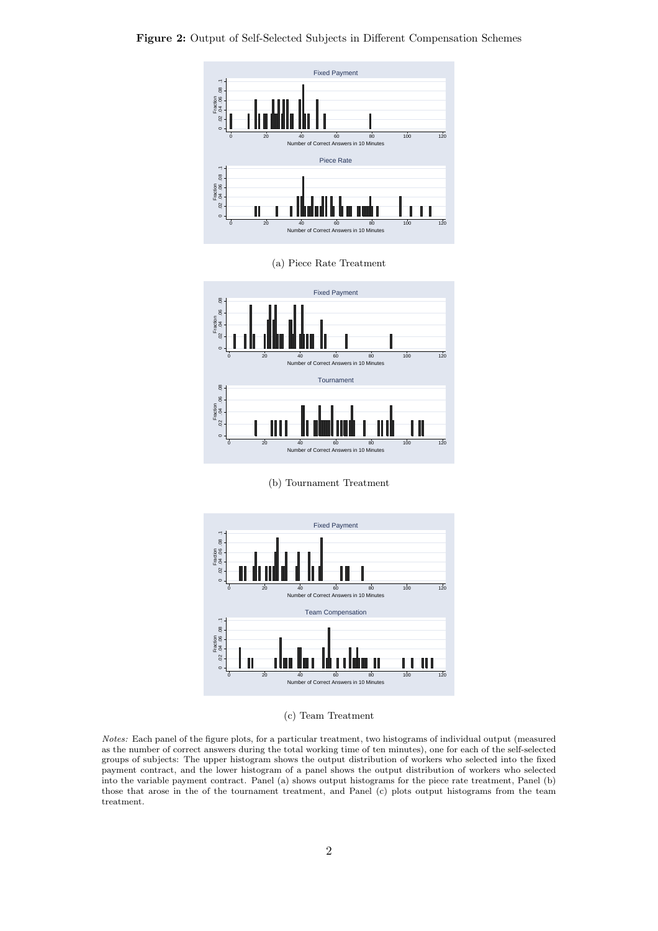

(a) Piece Rate Treatment



(b) Tournament Treatment



(c) Team Treatment

*Notes:* Each panel of the figure plots, for a particular treatment, two histograms of individual output (measured as the number of correct answers during the total working time of ten minutes), one for each of the self-selected groups of subjects: The upper histogram shows the output distribution of workers who selected into the fixed payment contract, and the lower histogram of a panel shows the output distribution of workers who selected into the variable payment contract. Panel (a) shows output histograms for the piece rate treatment, Panel (b) those that arose in the of the tournament treatment, and Panel (c) plots output histograms from the team treatment.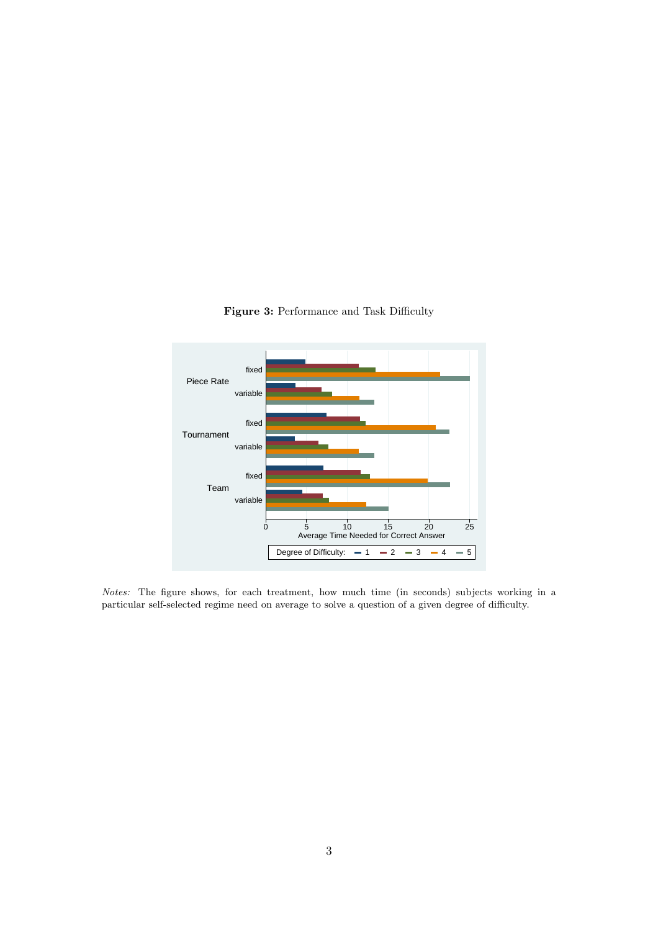

**Figure 3:** Performance and Task Difficulty

*Notes:* The figure shows, for each treatment, how much time (in seconds) subjects working in a particular self-selected regime need on average to solve a question of a given degree of difficulty.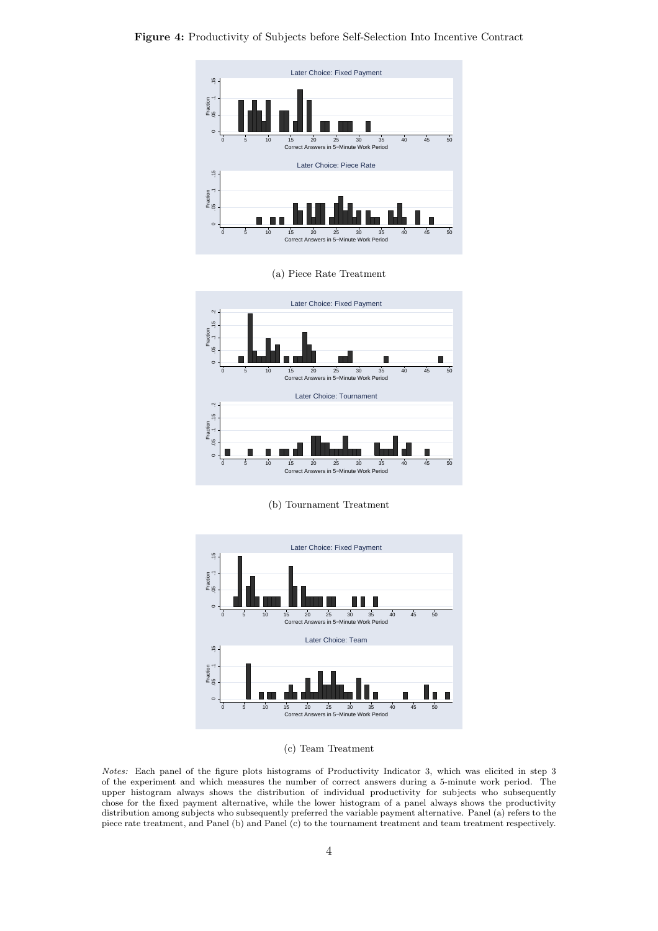

**Figure 4:** Productivity of Subjects before Self-Selection Into Incentive Contract

(a) Piece Rate Treatment



(b) Tournament Treatment



#### (c) Team Treatment

*Notes:* Each panel of the figure plots histograms of Productivity Indicator 3, which was elicited in step 3 of the experiment and which measures the number of correct answers during a 5-minute work period. The upper histogram always shows the distribution of individual productivity for subjects who subsequently chose for the fixed payment alternative, while the lower histogram of a panel always shows the productivity distribution among subjects who subsequently preferred the variable payment alternative. Panel (a) refers to the piece rate treatment, and Panel (b) and Panel (c) to the tournament treatment and team treatment respectively.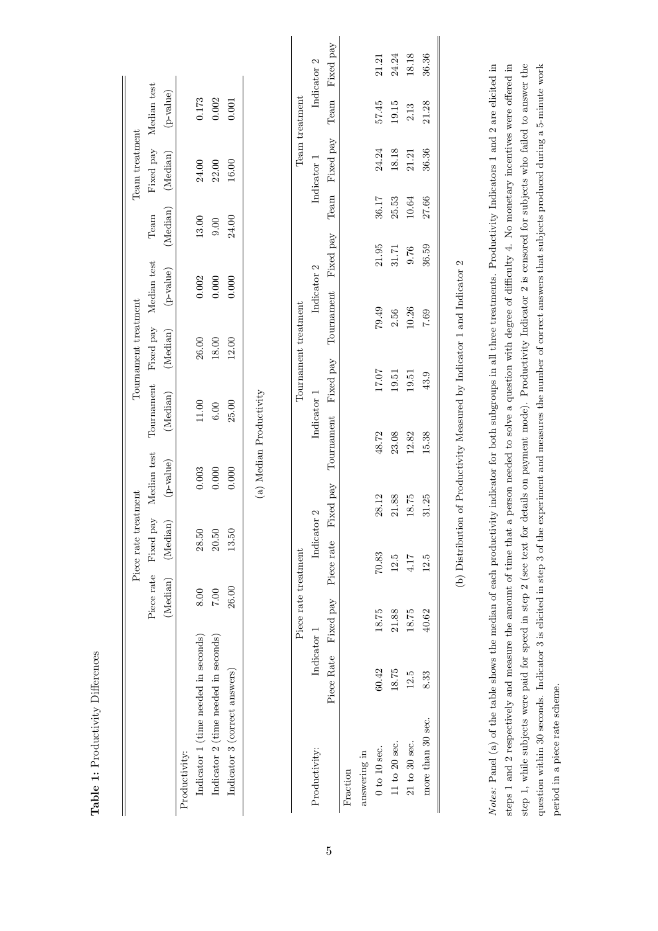|                                      |             |                      |            | Piece rate treatment |                         |             |                      | Tournament treatment |             |           |           | Team treatment |                |             |
|--------------------------------------|-------------|----------------------|------------|----------------------|-------------------------|-------------|----------------------|----------------------|-------------|-----------|-----------|----------------|----------------|-------------|
|                                      |             | Piece rate           |            | Fixed pay            | Median test             | Tournament  |                      | Fixed pay            | Median test | Team      |           | Fixed pay      | Median test    |             |
|                                      |             | (Median)             |            | (Median)             | (p-value)               | (Median)    |                      | (Median)             | (p-value)   | (Median)  |           | (Median)       | (p-value)      |             |
| Productivity:                        |             |                      |            |                      |                         |             |                      |                      |             |           |           |                |                |             |
| Indicator 1 (time needed in seconds) |             | 8.00                 |            | 28.50                | 0.003                   | $11.00$     |                      | 26.00                | 0.002       | 13.00     |           | 24.00          | $0.173\,$      |             |
| Indicator 2 (time needed in seconds) |             | $7.00\,$             |            | 20.50                | 0.000                   | 6.00        |                      | 18.00                | $0.000$     | 0.00      |           | 22.00          | 0.002          |             |
| Indicator 3 (correct answers)        |             | 26.00                |            | 13.50                | 0.000                   | 25.00       |                      | 12.00                | 0.000       | 24.00     |           | 16.00          | 0.001          |             |
|                                      |             |                      |            |                      | (a) Median Productivity |             |                      |                      |             |           |           |                |                |             |
|                                      |             | Piece rate treatment |            |                      |                         |             | Tournament treatment |                      |             |           |           |                | Team treatment |             |
| Productivity:                        | Indicator 1 |                      |            | Indicator 2          |                         | Indicator 1 |                      |                      | Indicator 2 |           |           | Indicator 1    |                | Indicator 2 |
|                                      | Piece Rate  | Fixed pay            | Piece rate |                      | Fixed pay               | Tournament  | Fixed pay            | Tournament           |             | Fixed pay | Team      | Fixed pay      | Team           | Fixed pay   |
| Fraction                             |             |                      |            |                      |                         |             |                      |                      |             |           |           |                |                |             |
| answering in                         |             |                      |            |                      |                         |             |                      |                      |             |           |           |                |                |             |
| $0$ to $10$ sec.                     | 60.42       | 18.75                | 70.83      |                      | 28.12                   | 48.72       | 17.07                | 79.49                |             | 21.95     | 36.17     | 24.24          | 57.45          | 21.21       |
| $11$ to $20$ sec.                    | 18.75       | 21.88                | 12.5       |                      | 21.88                   | 23.08       | 19.51                | 2.56                 |             | 31.71     | 25.53     | 18.18          | 19.15          | 24.24       |
| $21$ to $30$ sec.                    | 12.5        | 18.75                | 4.17       |                      | 18.75                   | 12.82       | 19.51                | 10.26                |             | 9.76      | $10.64\,$ | 21.21          | 2.13           | 18.18       |
| more than 30 sec.                    | 8.33        | 40.62                | 12.5       |                      | 31.25                   | 15.38       | 43.9                 | 7.69                 |             | 36.59     | 27.66     | 36.36          | 21.28          | 36.36       |

**Table 1:** Productivity Differences

Table 1: Productivity Differences

Notes: Panel (a) of the table shows the median of each productivity indicator for both subgroups in all three treatments. Productivity Indicators 1 and 2 are elicited in steps 1 and 2 respectively and measure the amount of time that a person needed to solve a question with degree of difficulty 4. No monetary incentives were offered in step 1, while subjects were paid for speed in step 2 (see text for details on payment mode). Productivity Indicator 2 is censored for subjects who failed to answer the question within 30 seconds. Indicator 3 is elicited in step 3 of the experiment and measures the number of correct answers that subjects produced during a 5-minute work question within 30 seconds. Indicator 3 is elicited in step 3 of the experiment and measures the number of correct answers that subjects produced during a 5-minute work *Notes:* Panel (a) of the table shows the median of each productivity indicator for both subgroups in all three treatments. Productivity Indicators 1 and 2 are elicited in steps 1 and 2 respectively and measure the amount of time that a person needed to solve a question with degree of difficulty 4. No monetary incentives were offered in step 1, while subjects were paid for speed in step 2 (see text for details on payment mode). Productivity Indicator 2 is censored for subjects who failed to answer the period in a piece rate scheme. period in a piece rate scheme.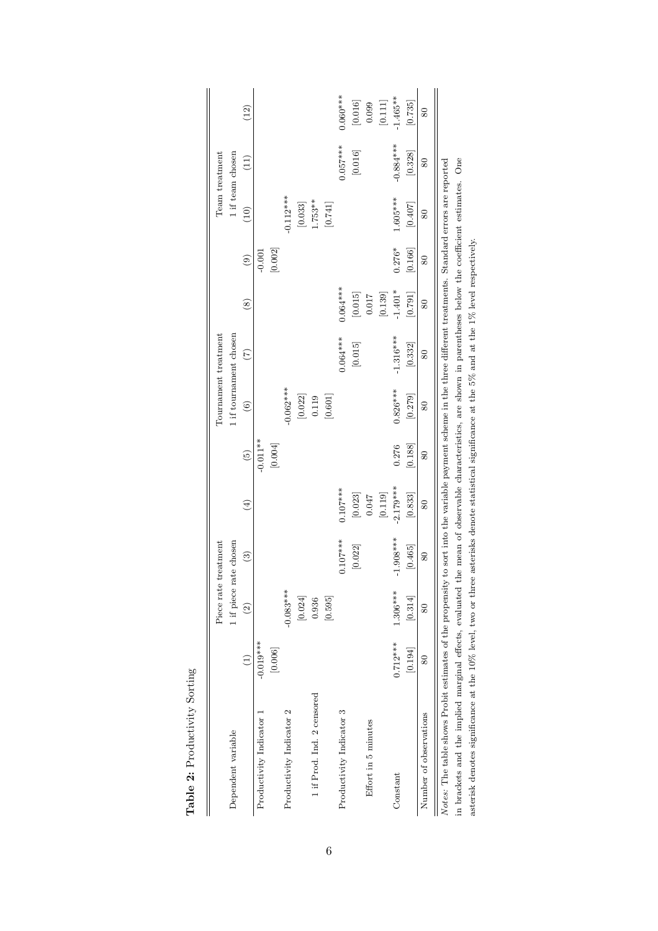|                                                                                                                                                                    |                        | Piece rate             | treatment              |                      |                 |                      | Tournament treatment   |                       |               |                        | Team treatment    |                      |
|--------------------------------------------------------------------------------------------------------------------------------------------------------------------|------------------------|------------------------|------------------------|----------------------|-----------------|----------------------|------------------------|-----------------------|---------------|------------------------|-------------------|----------------------|
| Dependent variable                                                                                                                                                 |                        | 1 if piece rate chosen |                        |                      |                 |                      | 1 if tournament chosen |                       |               |                        | 1 if team chosen  |                      |
|                                                                                                                                                                    |                        | $\widehat{c}$          | $\widehat{\mathbf{e}}$ | $\bigoplus$          | $\widetilde{5}$ | $\widehat{\circ}$    | $\widehat{C}$          | $\left( 8\right)$     | $\widehat{e}$ | (10)                   | $\left(11\right)$ | (12)                 |
| Productivity Indicator 1                                                                                                                                           | $-0.019***$            |                        |                        |                      | $-0.011***$     |                      |                        |                       | $-0.001$      |                        |                   |                      |
|                                                                                                                                                                    | [0.006]                |                        |                        |                      | [0.004]         |                      |                        |                       | [0.002]       |                        |                   |                      |
| Productivity Indicator 2                                                                                                                                           |                        | $-0.083***$            |                        |                      |                 | $-0.062***$          |                        |                       |               | $-0.112***$            |                   |                      |
|                                                                                                                                                                    |                        | $\left[0.024\right]$   |                        |                      |                 | $\left[0.022\right]$ |                        |                       |               | $\left[ 0.033\right]$  |                   |                      |
| 1 if Prod. Ind. 2 censored                                                                                                                                         |                        | 0.936                  |                        |                      |                 | 0.119                |                        |                       |               | $1.753**$              |                   |                      |
|                                                                                                                                                                    |                        | [0.595]                |                        |                      |                 | $[0.601]$            |                        |                       |               | [0.741]                |                   |                      |
| Productivity Indicator 3                                                                                                                                           |                        |                        | $0.107***$             | $0.107***$           |                 |                      | $0.064***$             | $0.064***$            |               |                        | $0.057***$        | $0.060***$           |
|                                                                                                                                                                    |                        |                        | [0.022]                | $\left[0.023\right]$ |                 |                      | $\left[0.015\right]$   | $\left[0.015\right]$  |               |                        | $[0.016]$         | $\left[0.016\right]$ |
| Effort in 5 minutes                                                                                                                                                |                        |                        |                        | 0.047                |                 |                      |                        | $0.017\,$             |               |                        |                   | 0.099                |
|                                                                                                                                                                    |                        |                        |                        | $\left[0.119\right]$ |                 |                      |                        | $\left[ 0.139\right]$ |               |                        |                   | $[0.111]$            |
| Constant                                                                                                                                                           | $0.712***$             | $1.306***$             | $-1.908***$            | $-2.179***$          | 0.276           | $0.826***$           | $-1.316***$            | $-1.401*$             | $0.276*$      | $1.605***$             | $-0.884***$       | $-1.465**$           |
|                                                                                                                                                                    | [0.194]                | [0.314]                | [0.465]                | [0.833]              | [0.188]         | [0.279]              | [0.332]                | [0.791]               | [0.166]       | [0.407]                | [0.328]           | [0.735]              |
| Number of observations                                                                                                                                             | $\overline{\text{80}}$ | $\overline{\text{80}}$ | 80                     | 80                   | 80              | 80                   | 80                     | 80                    | 80            | $\overline{\text{80}}$ | 80                | 80                   |
| Notes: The table shows Probit estimates of the propensity to sort into the variable payment scheme in the three different treatments. Standard errors are reported |                        |                        |                        |                      |                 |                      |                        |                       |               |                        |                   |                      |
| in brackets and the implied marginal effects, evaluated the mean of observable characteristics, are shown in parentheses below the coefficient estimates. One      |                        |                        |                        |                      |                 |                      |                        |                       |               |                        |                   |                      |
| asterisk denotes significance at the 10% level, two or three asterisks denote statistical significance at the 5% and at the 1% level respectively.                 |                        |                        |                        |                      |                 |                      |                        |                       |               |                        |                   |                      |

Table 2: Productivity Sorting **Table 2:** Productivity Sorting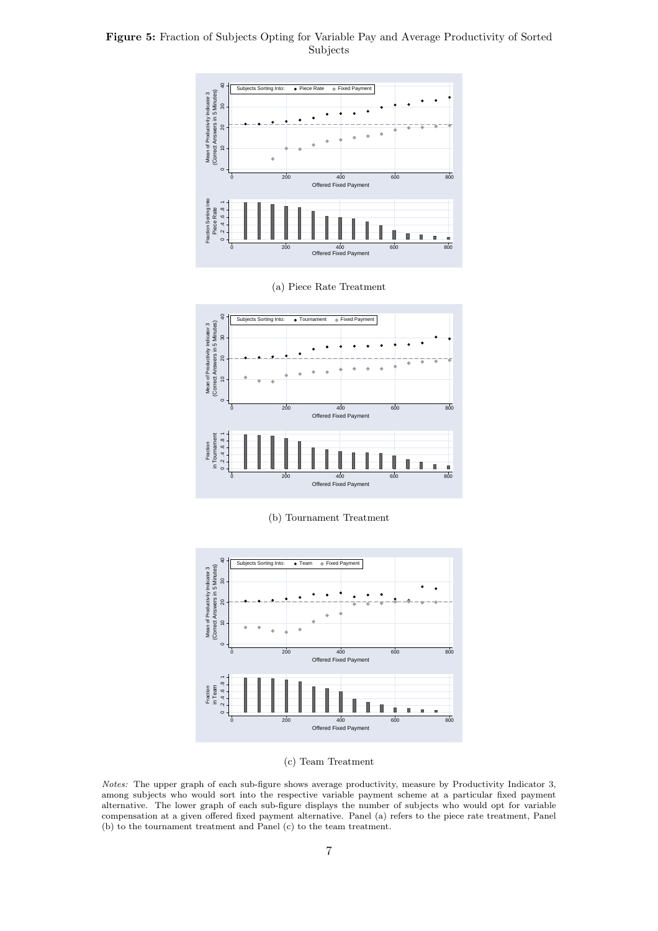### **Figure 5:** Fraction of Subjects Opting for Variable Pay and Average Productivity of Sorted Subjects



(a) Piece Rate Treatment



(b) Tournament Treatment



(c) Team Treatment

*Notes:* The upper graph of each sub-figure shows average productivity, measure by Productivity Indicator 3, among subjects who would sort into the respective variable payment scheme at a particular fixed payment alternative. The lower graph of each sub-figure displays the number of subjects who would opt for variable compensation at a given offered fixed payment alternative. Panel (a) refers to the piece rate treatment, Panel (b) to the tournament treatment and Panel (c) to the team treatment.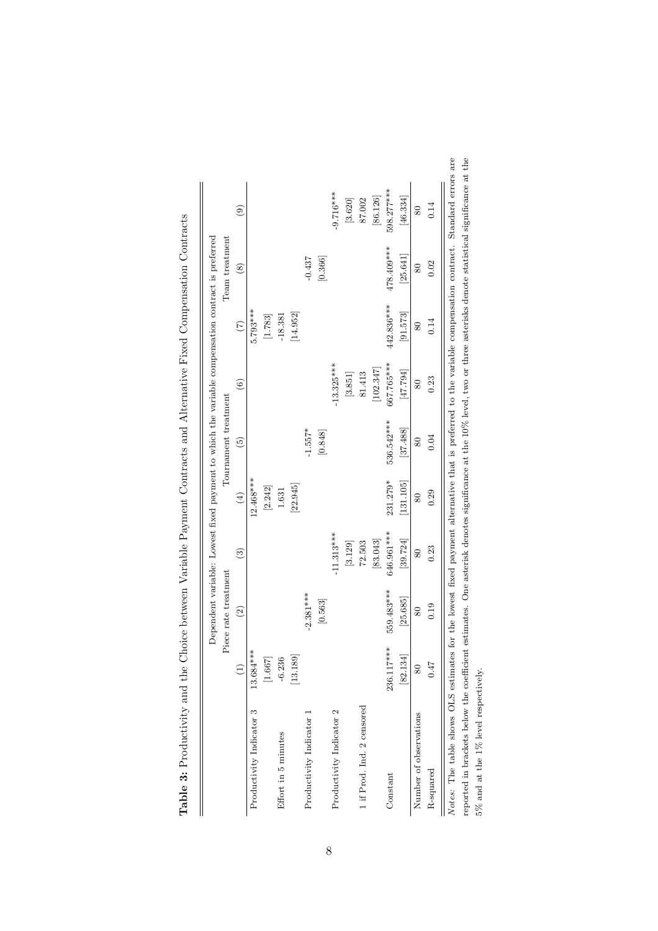|                            |            | Piece rate treatment |                       |                              | Tournament treatment |              |                 | Team treatment |                |
|----------------------------|------------|----------------------|-----------------------|------------------------------|----------------------|--------------|-----------------|----------------|----------------|
|                            |            | $\widetilde{c}$      | $\binom{3}{2}$        | $\left( \frac{4}{2} \right)$ | $\widetilde{5}$      | $\odot$      | $\widetilde{C}$ | $\circledast$  | $\circledcirc$ |
| Productivity Indicator 3   | 13.684 *** |                      |                       | 12.468***                    |                      |              | 5.793***        |                |                |
|                            | $[1.667]$  |                      |                       | [2.242]                      |                      |              | [1.783]         |                |                |
| Effort in 5 minutes        | $-6.236$   |                      |                       | 1.631                        |                      |              | $-18.381$       |                |                |
|                            | [13.189]   |                      |                       | [22.945]                     |                      |              | [14.952]        |                |                |
| Productivity Indicator 1   |            | $-2.381***$          |                       |                              | $-1.557*$            |              |                 | $-0.437$       |                |
|                            |            | [0.563]              |                       |                              | [0.848]              |              |                 | [0.366]        |                |
| Productivity Indicator 2   |            |                      | $-11.313***$          |                              |                      | $-13.325***$ |                 |                | $-9.716***$    |
|                            |            |                      | [3.129]               |                              |                      | [3.851]      |                 |                | [3.620]        |
| 1 if Prod. Ind. 2 censored |            |                      | 72.503                |                              |                      | 81.413       |                 |                | 87.002         |
|                            |            |                      | [83.043]              |                              |                      | [102.347]    |                 |                | [86.126]       |
| Constant                   | 236.117*** | 559.483***           | 646.961***            | 231.279*                     | 536.542***           | 667.765***   | 442.836***      | 478.409***     | 598.277***     |
|                            | 82.134     | [25.685]             | $\left[39.724\right]$ | [131.105]                    | [37.488]             | [47.794]     | [91.573]        | [25.641]       | [46.334]       |
| Number of observations     | 80         | 80                   | 80                    | 80                           | 80                   | 80           | 80              | 80             | 80             |
| R-squared                  | 0.47       | 0.19                 | 0.23                  | 0.29                         | 0.04                 | 0.23         | 0.14            | 0.02           | 0.14           |

| ֖֖֖ׅ֪ׅ֖֧֪ׅ֖֧֪ׅ֖֧֪֪ׅ֖֧֪ׅ֧֪ׅ֪ׅ֪֪֪֪֪֪֪֪֪֪֪֪֪֪֪֪֪֪֪֪֪֪ׅ֚֚֚֚֚֚֚֚֚֚֚֚֚֚֚֚֚֚֚֚֚֚֚֚֡֝֝֝֝֝֝֝֝֝֝֝֝֝֬֝֬֝<br>İ |         |
|----------------------------------------------------------------------------------------------------|---------|
| $\vdots$<br>l<br>l<br>.<br>.<br>.<br>.<br>.<br>j<br>i                                              |         |
| ١                                                                                                  |         |
|                                                                                                    |         |
| $\frac{3}{2}$<br>i<br>١<br>ļ<br>l                                                                  |         |
|                                                                                                    |         |
| ֘֒<br>֖֖֖֖֢ׅ֚֚֚֚֚֚֚֚֬֓֡֓֬֝֓֡֬<br>Í                                                                 |         |
|                                                                                                    |         |
| ו<br>;                                                                                             |         |
| ĺ<br> <br> <br>                                                                                    |         |
|                                                                                                    |         |
| <br> <br> <br>                                                                                     |         |
| $\ddot{\phantom{0}}$                                                                               |         |
|                                                                                                    |         |
|                                                                                                    |         |
| I<br>į                                                                                             |         |
| ĺ                                                                                                  |         |
|                                                                                                    |         |
| <br> <br>)                                                                                         |         |
| l                                                                                                  |         |
|                                                                                                    |         |
| こうしょう こうこう                                                                                         |         |
| <br> <br>                                                                                          |         |
|                                                                                                    | ֡֡֡֡֡֡֡ |
| ֖֖֖֖֖֖֖֪ׅ֖֪ׅ֪ׅ֪֪֪ׅ֖֧֪֪֪֪֪֪֪֪֪֪֪֧֚֚֚֚֚֚֚֚֚֚֚֚֚֚֚֚֚֚֚֚֚֚֬֝֓֝֓֞֬<br>į<br>֘<br>j<br>i                  |         |
| j<br>ŧ<br>I<br>j                                                                                   |         |
| l<br>j<br>l<br>l                                                                                   |         |
| ١                                                                                                  |         |
| I                                                                                                  |         |
| )<br>)<br>)<br>$\overline{1}$                                                                      |         |
| ֚֕֕֡                                                                                               |         |

*Notes*: The table shows OLS estimates for the lowest fixed payment alternative that is preferred to the variable compensation contract. Standard errors are reported in brackets below the coefficient estimates. One asteri reported in brackets below the coefficient estimates. One asterisk denotes significance at the 10% level, two or three asterisks denote statistical significance at the 5% and at the 1% level respectively.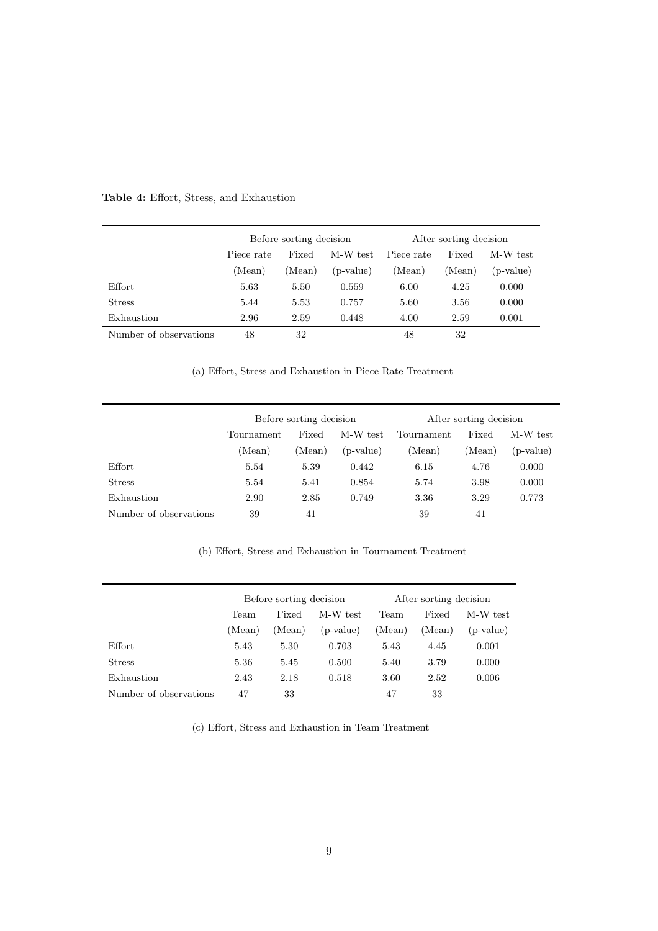|                        |            | Before sorting decision |           |            | After sorting decision |           |
|------------------------|------------|-------------------------|-----------|------------|------------------------|-----------|
|                        | Piece rate | Fixed                   | M-W test  | Piece rate | Fixed                  | M-W test  |
|                        | (Mean)     | (Mean)                  | (p-value) | (Mean)     | (Mean)                 | (p-value) |
| Effort                 | 5.63       | 5.50                    | 0.559     | 6.00       | 4.25                   | 0.000     |
| <b>Stress</b>          | 5.44       | 5.53                    | 0.757     | 5.60       | 3.56                   | 0.000     |
| Exhaustion             | 2.96       | 2.59                    | 0.448     | 4.00       | 2.59                   | 0.001     |
| Number of observations | 48         | 32                      |           | 48         | 32                     |           |

## **Table 4:** Effort, Stress, and Exhaustion

(a) Effort, Stress and Exhaustion in Piece Rate Treatment

|                        |            | Before sorting decision |           |            | After sorting decision |           |
|------------------------|------------|-------------------------|-----------|------------|------------------------|-----------|
|                        | Tournament | Fixed                   | M-W test  | Tournament | Fixed                  | M-W test  |
|                        | (Mean)     | (Mean)                  | (p-value) | (Mean)     | (Mean)                 | (p-value) |
| Effort                 | 5.54       | 5.39                    | 0.442     | 6.15       | 4.76                   | 0.000     |
| <b>Stress</b>          | 5.54       | 5.41                    | 0.854     | 5.74       | 3.98                   | 0.000     |
| Exhaustion             | 2.90       | 2.85                    | 0.749     | 3.36       | 3.29                   | 0.773     |
| Number of observations | 39         | 41                      |           | 39         | 41                     |           |

(b) Effort, Stress and Exhaustion in Tournament Treatment

|                        |        | Before sorting decision |           |        | After sorting decision |           |
|------------------------|--------|-------------------------|-----------|--------|------------------------|-----------|
|                        | Team   | Fixed                   | M-W test  | Team   | Fixed                  | M-W test  |
|                        | (Mean) | Mean)                   | (p-value) | (Mean) | (Mean)                 | (p-value) |
| Effort                 | 5.43   | 5.30                    | 0.703     | 5.43   | 4.45                   | 0.001     |
| <b>Stress</b>          | 5.36   | 5.45                    | 0.500     | 5.40   | 3.79                   | 0.000     |
| Exhaustion             | 2.43   | 2.18                    | 0.518     | 3.60   | 2.52                   | 0.006     |
| Number of observations | 47     | 33                      |           | 47     | 33                     |           |

(c) Effort, Stress and Exhaustion in Team Treatment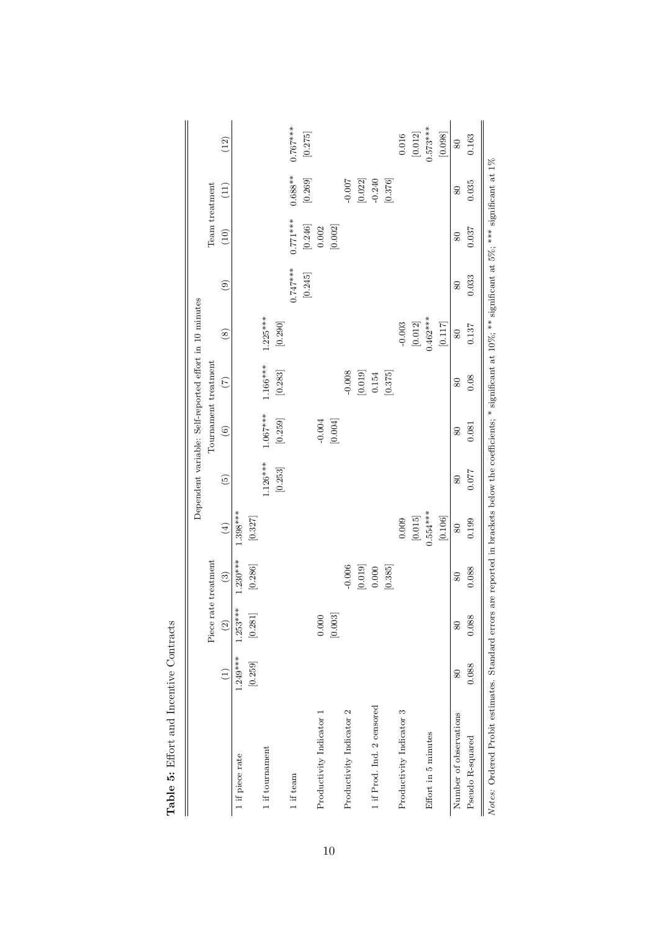|                                                                                                                                                                                |            |                       |                      |                      | Dependent variable: Self-reported effort in 10 minutes |            |                       |                      |                       |                       |                      |                       |
|--------------------------------------------------------------------------------------------------------------------------------------------------------------------------------|------------|-----------------------|----------------------|----------------------|--------------------------------------------------------|------------|-----------------------|----------------------|-----------------------|-----------------------|----------------------|-----------------------|
|                                                                                                                                                                                |            |                       | Piece rate treatment |                      |                                                        |            | Tournament treatment  |                      |                       | Team treatment        |                      |                       |
|                                                                                                                                                                                |            | $\odot$               | $\binom{3}{2}$       | $\left( 4\right)$    | $\widetilde{e}$                                        | $\odot$    | $(\tilde{c})$         | $\circledS$          | $\odot$               | (10)                  | (11)                 | (12)                  |
| 1 if piece rate                                                                                                                                                                | $1.249***$ | $1.253***$            | $1.230***$           | $1.398***$           |                                                        |            |                       |                      |                       |                       |                      |                       |
|                                                                                                                                                                                | [0.259]    | $\left[ 0.281\right]$ | [0.286]              | $\left[0.327\right]$ |                                                        |            |                       |                      |                       |                       |                      |                       |
| 1 if tournament                                                                                                                                                                |            |                       |                      |                      | $1.126***$                                             | $1.067***$ | $1.166***$            | $1.225***$           |                       |                       |                      |                       |
|                                                                                                                                                                                |            |                       |                      |                      | $\left[0.253\right]$                                   | [0.259]    | $\left[ 0.283\right]$ | [0.290]              |                       |                       |                      |                       |
| 1 if team                                                                                                                                                                      |            |                       |                      |                      |                                                        |            |                       |                      | $0.747***$            | $0.771***$            | $0.688**$            | $0.767***$            |
|                                                                                                                                                                                |            |                       |                      |                      |                                                        |            |                       |                      | $\left[ 0.245\right]$ | $\left[ 0.246\right]$ | [0.269]              | $\left[ 0.275\right]$ |
| Productivity Indicator 1                                                                                                                                                       |            | 0.000                 |                      |                      |                                                        | $-0.004$   |                       |                      |                       | $0.002$               |                      |                       |
|                                                                                                                                                                                |            | [0.003]               |                      |                      |                                                        | [0.004]    |                       |                      |                       | $[0.002]$             |                      |                       |
| Productivity Indicator 2                                                                                                                                                       |            |                       | $-0.006$             |                      |                                                        |            | $-0.008$              |                      |                       |                       | $-0.007$             |                       |
|                                                                                                                                                                                |            |                       | $\left[0.019\right]$ |                      |                                                        |            | $\left[ 0.019\right]$ |                      |                       |                       | $\left[0.022\right]$ |                       |
| 1 if Prod. Ind. 2 censored                                                                                                                                                     |            |                       | 0.000                |                      |                                                        |            | 0.154                 |                      |                       |                       | $-0.240$             |                       |
|                                                                                                                                                                                |            |                       | [0.385]              |                      |                                                        |            | [0.375]               |                      |                       |                       | [0.376]              |                       |
| Productivity Indicator 3                                                                                                                                                       |            |                       |                      | 0.009                |                                                        |            |                       | $-0.003$             |                       |                       |                      | 0.016                 |
|                                                                                                                                                                                |            |                       |                      | $\left[0.015\right]$ |                                                        |            |                       | $\left[0.012\right]$ |                       |                       |                      | $\left[0.012\right]$  |
| Effort in 5 minutes                                                                                                                                                            |            |                       |                      | $0.554***$           |                                                        |            |                       | $0.462***$           |                       |                       |                      | $0.573***$            |
|                                                                                                                                                                                |            |                       |                      | [0.106]              |                                                        |            |                       | [0.117]              |                       |                       |                      | [0.098]               |
| Number of observations                                                                                                                                                         | 80         | 80                    | 80                   | 80                   | 80                                                     | 80         | 80                    | 80                   | 80                    | 80                    | 80                   | 80                    |
| Pseudo R-squared                                                                                                                                                               | 0.088      | 0.088                 | 0.088                | 0.199                | 0.077                                                  | 0.081      | 0.08                  | 0.137                | 0.033                 | 0.037                 | 0.035                | 0.163                 |
| Notes: Ordered Probit estimates. Standard errors are reported in brackets below the coefficients; * significant at $10\%$ ; ** significant at $5\%$ ; *** significant at $1\%$ |            |                       |                      |                      |                                                        |            |                       |                      |                       |                       |                      |                       |

Table 5: Effort and Incentive Contracts **Table 5:** Effort and Incentive Contracts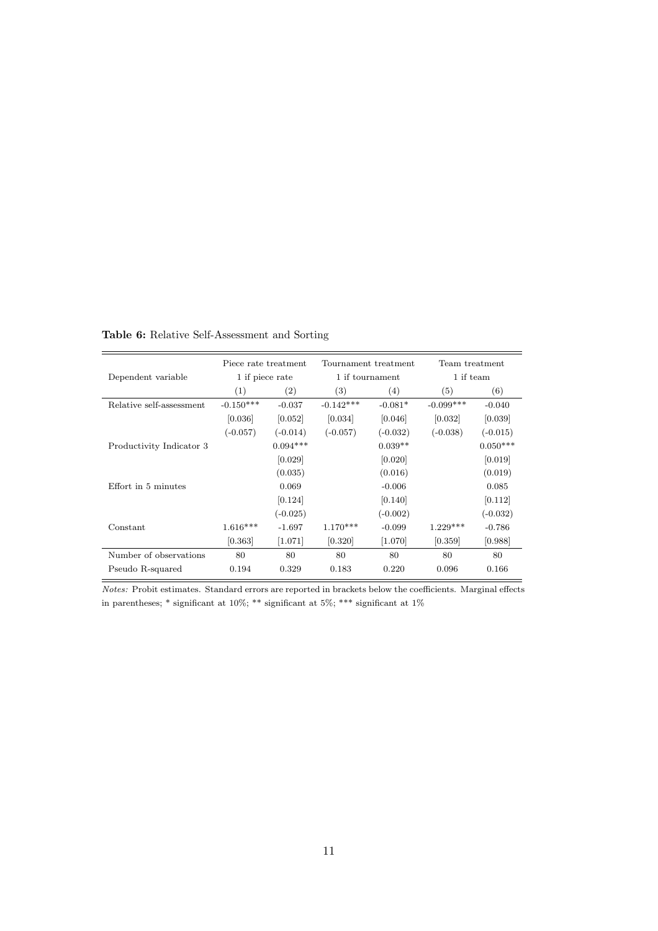|                          | Piece rate treatment |            |             | Tournament treatment | Team treatment |            |
|--------------------------|----------------------|------------|-------------|----------------------|----------------|------------|
| Dependent variable       | 1 if piece rate      |            |             | 1 if tournament      | 1 if team      |            |
|                          | (1)                  | (2)        | (3)         | (4)                  | (5)            | (6)        |
| Relative self-assessment | $-0.150***$          | $-0.037$   | $-0.142***$ | $-0.081*$            | $-0.099***$    | $-0.040$   |
|                          | [0.036]              | [0.052]    | [0.034]     | [0.046]              | [0.032]        | [0.039]    |
|                          | $(-0.057)$           | $(-0.014)$ | $(-0.057)$  | $(-0.032)$           | $(-0.038)$     | $(-0.015)$ |
| Productivity Indicator 3 |                      | $0.094***$ |             | $0.039**$            |                | $0.050***$ |
|                          |                      | [0.029]    |             | [0.020]              |                | [0.019]    |
|                          |                      | (0.035)    |             | (0.016)              |                | (0.019)    |
| Effort in 5 minutes      |                      | 0.069      |             | $-0.006$             |                | 0.085      |
|                          |                      | [0.124]    |             | [0.140]              |                | [0.112]    |
|                          |                      | $(-0.025)$ |             | $(-0.002)$           |                | $(-0.032)$ |
| Constant                 | $1.616***$           | $-1.697$   | $1.170***$  | $-0.099$             | $1.229***$     | $-0.786$   |
|                          | [0.363]              | [1.071]    | [0.320]     | $[1.070]$            | [0.359]        | [0.988]    |
| Number of observations   | 80                   | 80         | 80          | 80                   | 80             | 80         |
| Pseudo R-squared         | 0.194                | 0.329      | 0.183       | 0.220                | 0.096          | 0.166      |

**Table 6:** Relative Self-Assessment and Sorting

*Notes:* Probit estimates. Standard errors are reported in brackets below the coefficients. Marginal effects in parentheses; \* significant at 10%; \*\*\* significant at 5%; \*\*\* significant at  $1\%$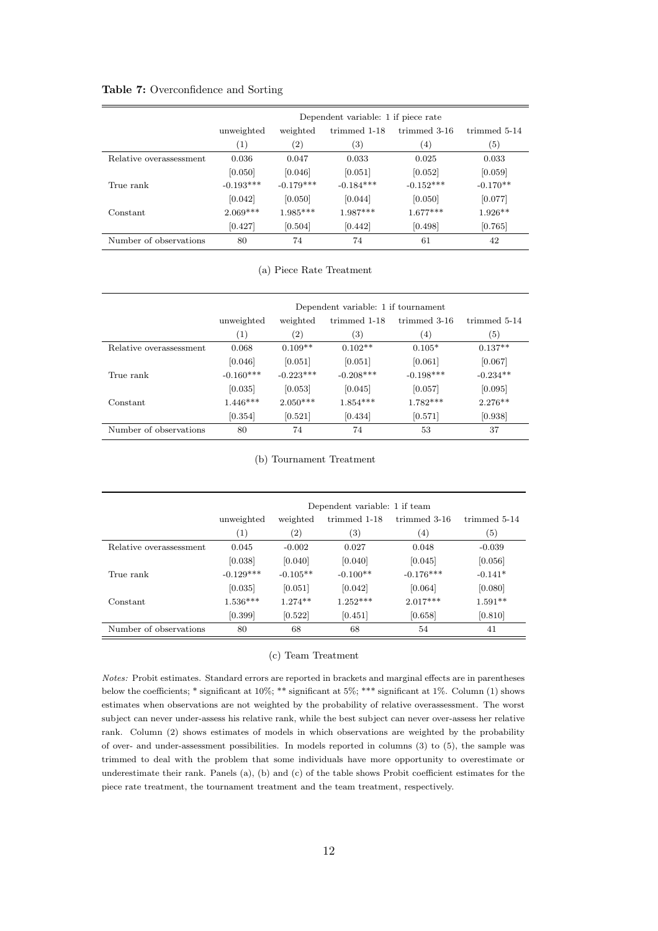### **Table 7:** Overconfidence and Sorting

|                         |                  |                   | Dependent variable: 1 if piece rate |              |                   |
|-------------------------|------------------|-------------------|-------------------------------------|--------------|-------------------|
|                         | unweighted       | weighted          | trimmed 1-18                        | trimmed 3-16 | trimmed 5-14      |
|                         | $\left(1\right)$ | $\left( 2\right)$ | $\left( 3\right)$                   | (4)          | $\left( 5\right)$ |
| Relative overassessment | 0.036            | 0.047             | 0.033                               | 0.025        | 0.033             |
|                         | [0.050]          | [0.046]           | [0.051]                             | [0.052]      | [0.059]           |
| True rank               | $-0.193***$      | $-0.179***$       | $-0.184***$                         | $-0.152***$  | $-0.170**$        |
|                         | [0.042]          | [0.050]           | [0.044]                             | [0.050]      | [0.077]           |
| Constant                | $2.069***$       | $1.985***$        | $1.987***$                          | $1.677***$   | $1.926**$         |
|                         | [0.427]          | [0.504]           | [0.442]                             | [0.498]      | [0.765]           |
| Number of observations  | 80               | 74                | 74                                  | 61           | 42                |

(a) Piece Rate Treatment

|                         | Dependent variable: 1 if tournament |                   |              |              |              |
|-------------------------|-------------------------------------|-------------------|--------------|--------------|--------------|
|                         | unweighted                          | weighted          | trimmed 1-18 | trimmed 3-16 | trimmed 5-14 |
|                         | (1)                                 | $\left( 2\right)$ | (3)          | (4)          | (5)          |
| Relative overassessment | 0.068                               | $0.109**$         | $0.102**$    | $0.105*$     | $0.137**$    |
|                         | [0.046]                             | [0.051]           | [0.051]      | [0.061]      | [0.067]      |
| True rank               | $-0.160***$                         | $-0.223***$       | $-0.208***$  | $-0.198***$  | $-0.234**$   |
|                         | [0.035]                             | [0.053]           | [0.045]      | [0.057]      | [0.095]      |
| Constant                | $1.446***$                          | $2.050***$        | $1.854***$   | $1.782***$   | $2.276**$    |
|                         | [0.354]                             | [0.521]           | [0.434]      | [0.571]      | [0.938]      |
| Number of observations  | 80                                  | 74                | 74           | 53           | 37           |

(b) Tournament Treatment

|                         | Dependent variable: 1 if team |                   |                   |                   |              |
|-------------------------|-------------------------------|-------------------|-------------------|-------------------|--------------|
|                         | unweighted                    | weighted          | trimmed 1-18      | trimmed 3-16      | trimmed 5-14 |
|                         | (1)                           | $\left( 2\right)$ | $\left( 3\right)$ | $\left( 4\right)$ | (5)          |
| Relative overassessment | 0.045                         | $-0.002$          | 0.027             | 0.048             | $-0.039$     |
|                         | [0.038]                       | [0.040]           | [0.040]           | [0.045]           | [0.056]      |
| True rank               | $-0.129***$                   | $-0.105**$        | $-0.100**$        | $-0.176***$       | $-0.141*$    |
|                         | [0.035]                       | [0.051]           | [0.042]           | [0.064]           | [0.080]      |
| Constant                | $1.536***$                    | $1.274**$         | $1.252***$        | $2.017***$        | $1.591**$    |
|                         | [0.399]                       | [0.522]           | [0.451]           | [0.658]           | [0.810]      |
| Number of observations  | 80                            | 68                | 68                | 54                | 41           |

### (c) Team Treatment

*Notes:* Probit estimates. Standard errors are reported in brackets and marginal effects are in parentheses below the coefficients; \* significant at 10%; \*\* significant at 5%; \*\*\* significant at 1%. Column (1) shows estimates when observations are not weighted by the probability of relative overassessment. The worst subject can never under-assess his relative rank, while the best subject can never over-assess her relative rank. Column (2) shows estimates of models in which observations are weighted by the probability of over- and under-assessment possibilities. In models reported in columns (3) to (5), the sample was trimmed to deal with the problem that some individuals have more opportunity to overestimate or underestimate their rank. Panels (a), (b) and (c) of the table shows Probit coefficient estimates for the piece rate treatment, the tournament treatment and the team treatment, respectively.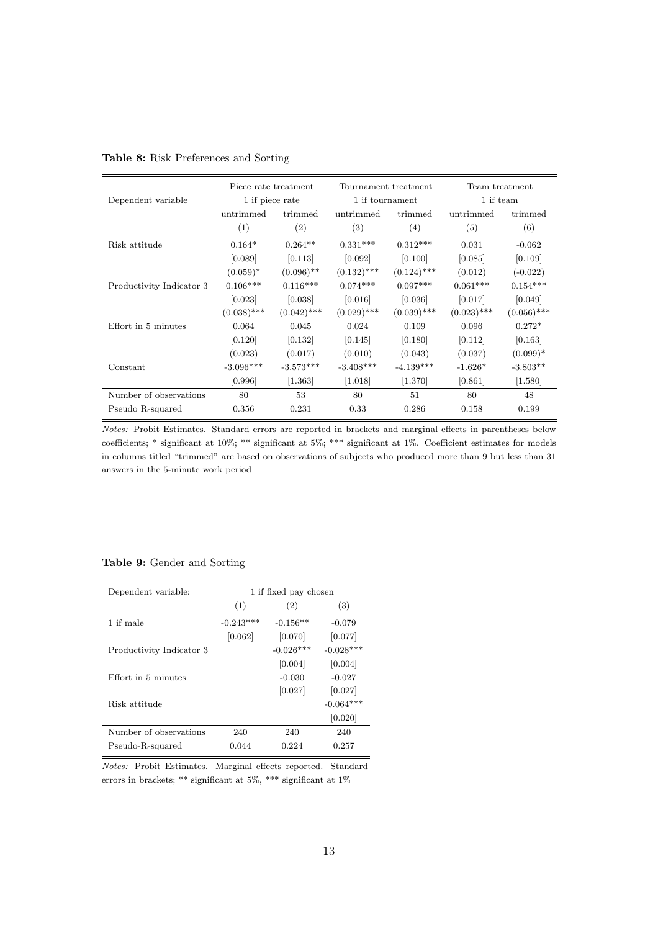|                          | Piece rate treatment |               | Tournament treatment |               | Team treatment |               |
|--------------------------|----------------------|---------------|----------------------|---------------|----------------|---------------|
| Dependent variable       | 1 if piece rate      |               | 1 if tournament      |               | 1 if team      |               |
|                          | untrimmed            | trimmed       | untrimmed            | trimmed       | untrimmed      | trimmed       |
|                          | (1)                  | (2)           | (3)                  | (4)           | (5)            | (6)           |
| Risk attitude            | $0.164*$             | $0.264**$     | $0.331***$           | $0.312***$    | 0.031          | $-0.062$      |
|                          | [0.089]              | [0.113]       | [0.092]              | [0.100]       | [0.085]        | [0.109]       |
|                          | $(0.059)^*$          | $(0.096)$ **  | $(0.132)$ ***        | $(0.124)$ *** | (0.012)        | $(-0.022)$    |
| Productivity Indicator 3 | $0.106***$           | $0.116***$    | $0.074***$           | $0.097***$    | $0.061***$     | $0.154***$    |
|                          | [0.023]              | [0.038]       | [0.016]              | [0.036]       | [0.017]        | [0.049]       |
|                          | $(0.038)$ ***        | $(0.042)$ *** | $(0.029)$ ***        | $(0.039)$ *** | $(0.023)$ ***  | $(0.056)$ *** |
| Effort in 5 minutes      | 0.064                | 0.045         | 0.024                | 0.109         | 0.096          | $0.272*$      |
|                          | [0.120]              | [0.132]       | [0.145]              | [0.180]       | [0.112]        | [0.163]       |
|                          | (0.023)              | (0.017)       | (0.010)              | (0.043)       | (0.037)        | $(0.099)^*$   |
| Constant                 | $-3.096***$          | $-3.573***$   | $-3.408***$          | $-4.139***$   | $-1.626*$      | $-3.803**$    |
|                          | [0.996]              | [1.363]       | [1.018]              | [1.370]       | [0.861]        | [1.580]       |
| Number of observations   | 80                   | 53            | 80                   | 51            | 80             | 48            |
| Pseudo R-squared         | 0.356                | 0.231         | 0.33                 | 0.286         | 0.158          | 0.199         |

|  | Table 8: Risk Preferences and Sorting |  |
|--|---------------------------------------|--|
|  |                                       |  |

*Notes:* Probit Estimates. Standard errors are reported in brackets and marginal effects in parentheses below coefficients; \* significant at 10%; \*\* significant at 5%; \*\*\* significant at 1%. Coefficient estimates for models in columns titled "trimmed" are based on observations of subjects who produced more than 9 but less than 31 answers in the 5-minute work period

## **Table 9:** Gender and Sorting

| Dependent variable:      | 1 if fixed pay chosen |             |             |  |  |
|--------------------------|-----------------------|-------------|-------------|--|--|
|                          | (1)                   | (2)         | (3)         |  |  |
| 1 if male                | $-0.243***$           | $-0.156**$  | $-0.079$    |  |  |
|                          | [0.062]               | [0.070]     | [0.077]     |  |  |
| Productivity Indicator 3 |                       | $-0.026***$ | $-0.028***$ |  |  |
|                          |                       | [0.004]     | [0.004]     |  |  |
| Effort in 5 minutes      |                       | $-0.030$    | $-0.027$    |  |  |
|                          |                       | [0.027]     | [0.027]     |  |  |
| Risk attitude            |                       |             | $-0.064***$ |  |  |
|                          |                       |             | [0.020]     |  |  |
| Number of observations   | 240                   | 240         | 240         |  |  |
| Pseudo-R-squared         | 0.044                 | 0.224       | 0.257       |  |  |

*Notes:* Probit Estimates. Marginal effects reported. Standard errors in brackets; \*\* significant at 5%, \*\*\* significant at 1%